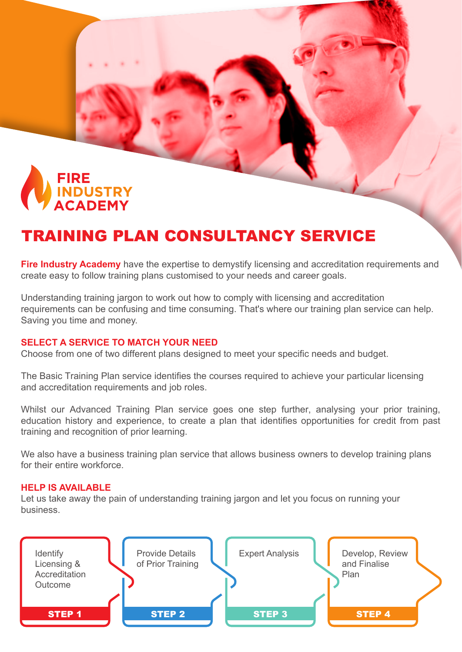

# TRAINING PLAN CONSULTANCY SERVICE

**Fire Industry Academy** have the expertise to demystify licensing and accreditation requirements and create easy to follow training plans customised to your needs and career goals.

Understanding training jargon to work out how to comply with licensing and accreditation requirements can be confusing and time consuming. That's where our training plan service can help. Saving you time and money.

### **SELECT A SERVICE TO MATCH YOUR NEED**

Choose from one of two different plans designed to meet your specific needs and budget.

The Basic Training Plan service identifies the courses required to achieve your particular licensing and accreditation requirements and job roles.

Whilst our Advanced Training Plan service goes one step further, analysing your prior training, education history and experience, to create a plan that identifies opportunities for credit from past training and recognition of prior learning.

We also have a business training plan service that allows business owners to develop training plans for their entire workforce.

### **HELP IS AVAILABLE**

Let us take away the pain of understanding training jargon and let you focus on running your business.